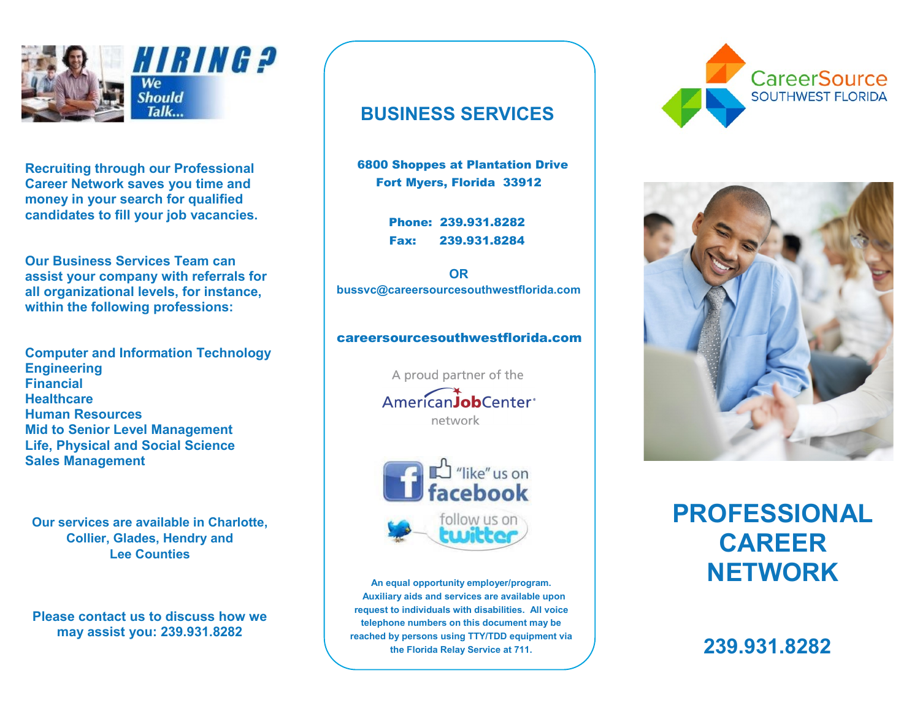

**Recruiting through our Professional Recruiting through our Professional Career Network saves you time and Career Network saves you time and money in your search for qualified money in your search for qualified candidates to fill your job vacancies. candidates to fill your job vacancies.**

**Our Business Services Team can Our Business Services Team can assist your company with referrals for assist your company with referrals for all organizational levels, for instance, all organizational levels, for instance, within the following professions: within the following professions:**

**Computer and Information Technology Computer and Information Technology Engineering Engineering Financial Financial Healthcare Healthcare Human Resources Human Resources Mid to Senior Level Management Mid to Senior Level Management Life, Physical and Social Science Life, Physical and Social Science Sales Management Sales Management**

**Our services are available in Charlotte, Our services are available in Charlotte, Collier, Glades, Hendry and Collier, Glades, Hendry and Lee Counties Lee Counties**

**Please contact us to discuss how we Please contact us to discuss how we may assist you: 239.931.8282 may assist you: 239.931.8282**

### **BUSINESS SERVICES BUSINESS SERVICES**

6800 Shoppes at Plantation Drive 6800 Shoppes at Plantation Drive Fort Myers, Florida 33912 Fort Myers, Florida 33912

> Phone: 239.931.8282 Phone: 239.931.8282 Fax: 239.931.8284 Fax: 239.931.8284

**OR OR bussvc@careersourcesouthwestflorida.com bussvc@careersourcesouthwestflorida.com**

#### careersourcesouthwestflorida.com careersourcesouthwestflorida.com

A proud partner of the AmericanJobCenter<sup>®</sup> network



**239.931.8282 the Florida Relay Service at 711. 239.931.8282 An equal opportunity employer/program. An equal opportunity employer/program. Auxiliary aids and services are available upon Auxiliary aids and services are available upon request to individuals with disabilities. All voice request to individuals with disabilities. All voice telephone numbers on this document may be telephone numbers on this document may be reached by persons using TTY/TDD equipment via reached by persons using TTY/TDD equipment via the Florida Relay Service at 711.**





# **PROFESSIONAL PROFESSIONAL CAREER CAREER NETWORK NETWORK**